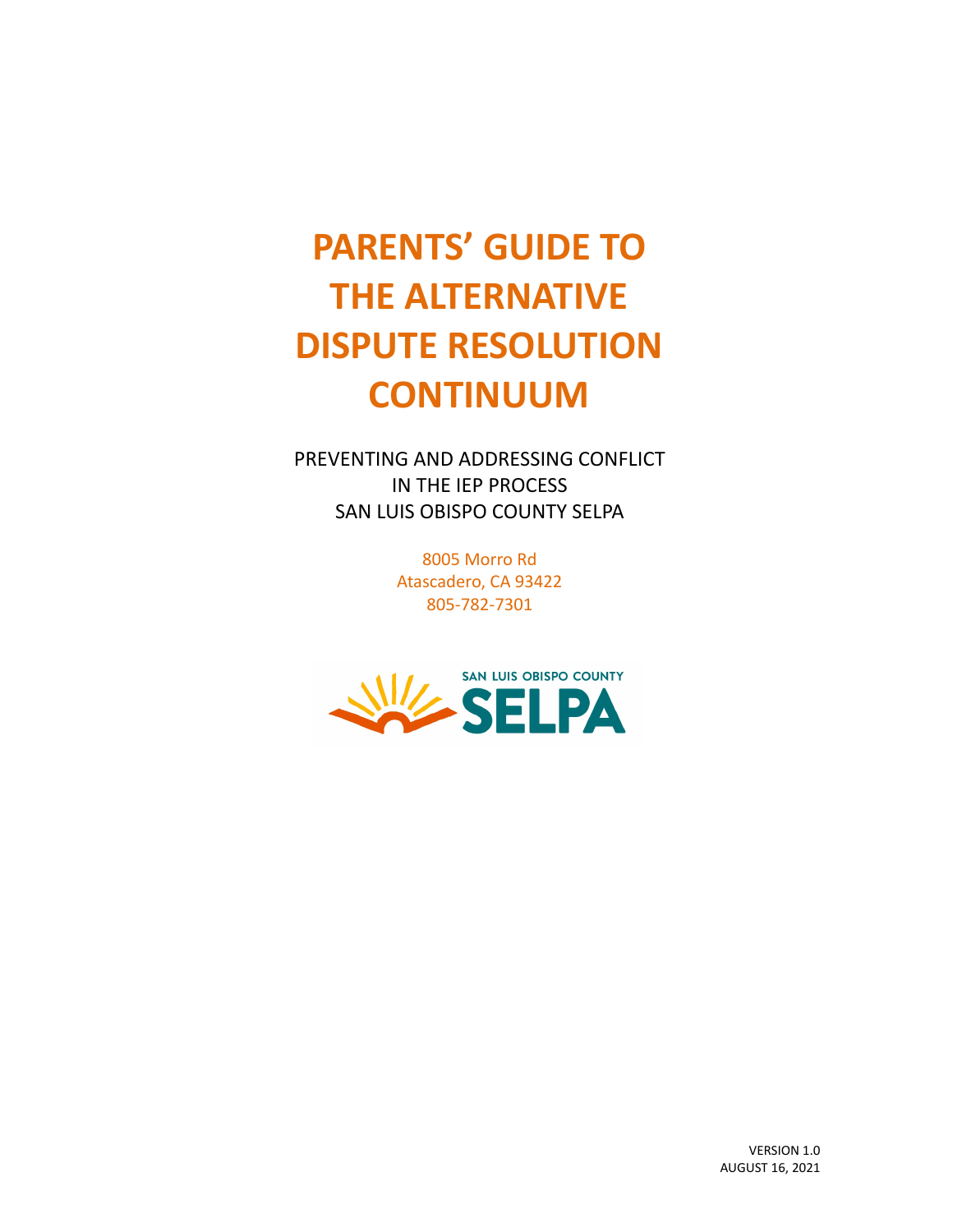# **PARENTS' GUIDE TO THE ALTERNATIVE DISPUTE RESOLUTION CONTINUUM**

PREVENTING AND ADDRESSING CONFLICT IN THE IEP PROCESS SAN LUIS OBISPO COUNTY SELPA

> 8005 Morro Rd Atascadero, CA 93422 805-782-7301

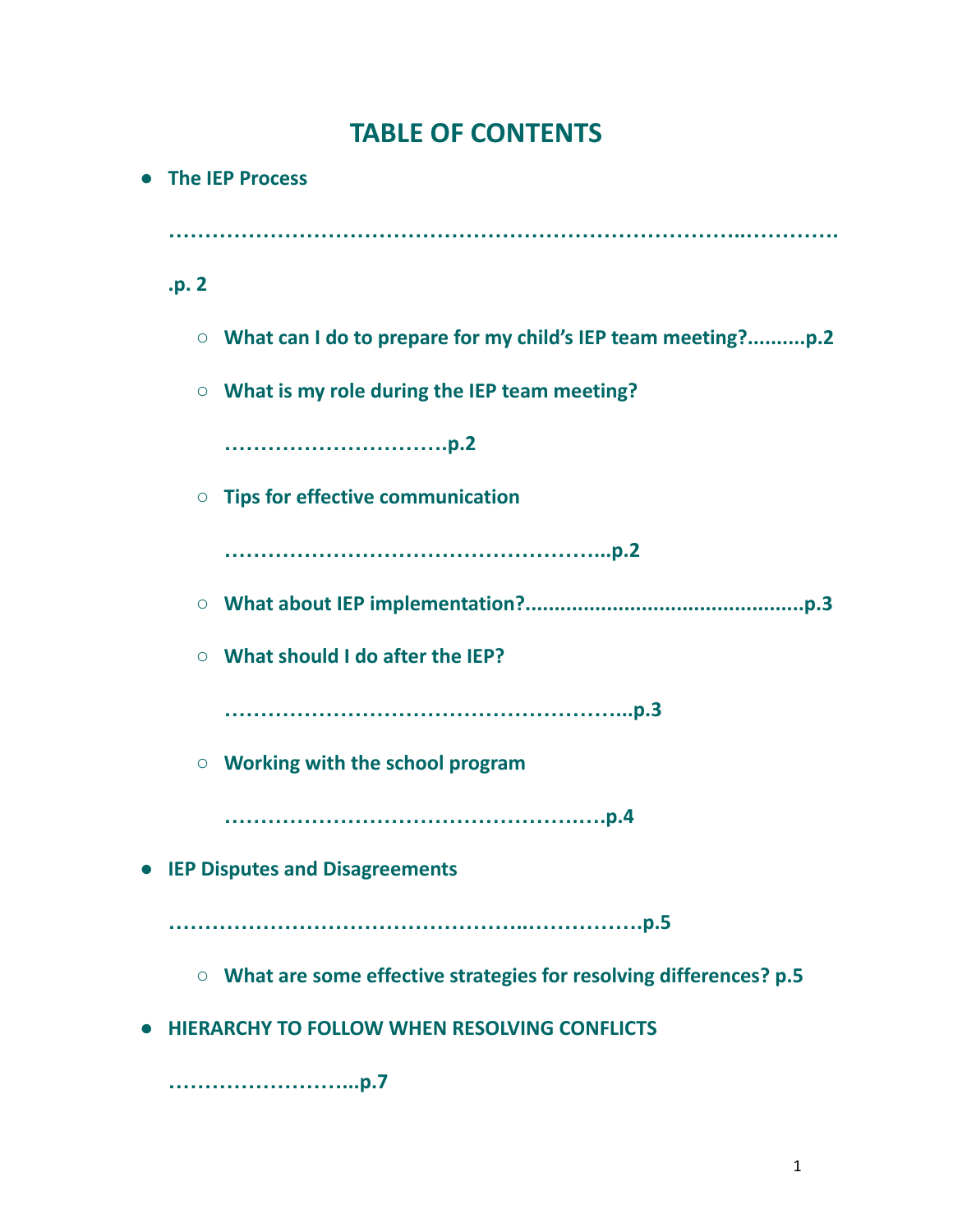# **TABLE OF CONTENTS**

|                                  | • The IEP Process |                                                                           |
|----------------------------------|-------------------|---------------------------------------------------------------------------|
|                                  |                   |                                                                           |
|                                  | .p. 2             |                                                                           |
|                                  | $\circ$           |                                                                           |
|                                  | $\bigcirc$        | What is my role during the IEP team meeting?                              |
|                                  |                   |                                                                           |
|                                  |                   | $\circ$ Tips for effective communication                                  |
|                                  |                   |                                                                           |
|                                  |                   |                                                                           |
|                                  |                   | $\circ$ What should I do after the IEP?                                   |
|                                  |                   |                                                                           |
|                                  |                   | $\circ$ Working with the school program                                   |
|                                  |                   |                                                                           |
| • IEP Disputes and Disagreements |                   |                                                                           |
|                                  |                   |                                                                           |
|                                  |                   | $\circ$ What are some effective strategies for resolving differences? p.5 |
|                                  |                   | • HIERARCHY TO FOLLOW WHEN RESOLVING CONFLICTS                            |
|                                  |                   |                                                                           |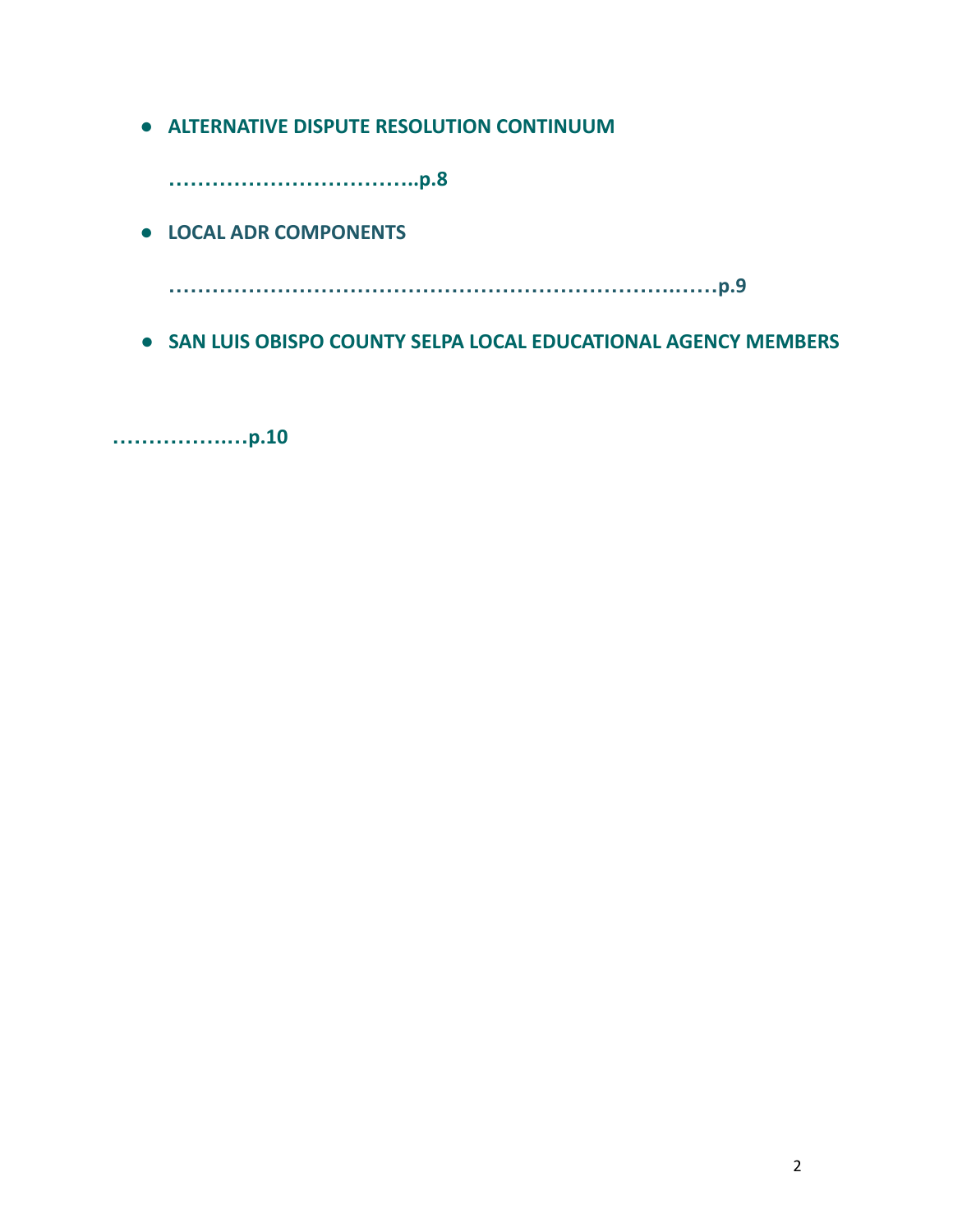**● ALTERNATIVE DISPUTE RESOLUTION CONTINUUM**

**……………………………..p.8**

**● LOCAL ADR COMPONENTS**

**…………………………………………………………….……p.9**

**● SAN LUIS OBISPO COUNTY SELPA LOCAL EDUCATIONAL AGENCY MEMBERS**

**…………….…p.10**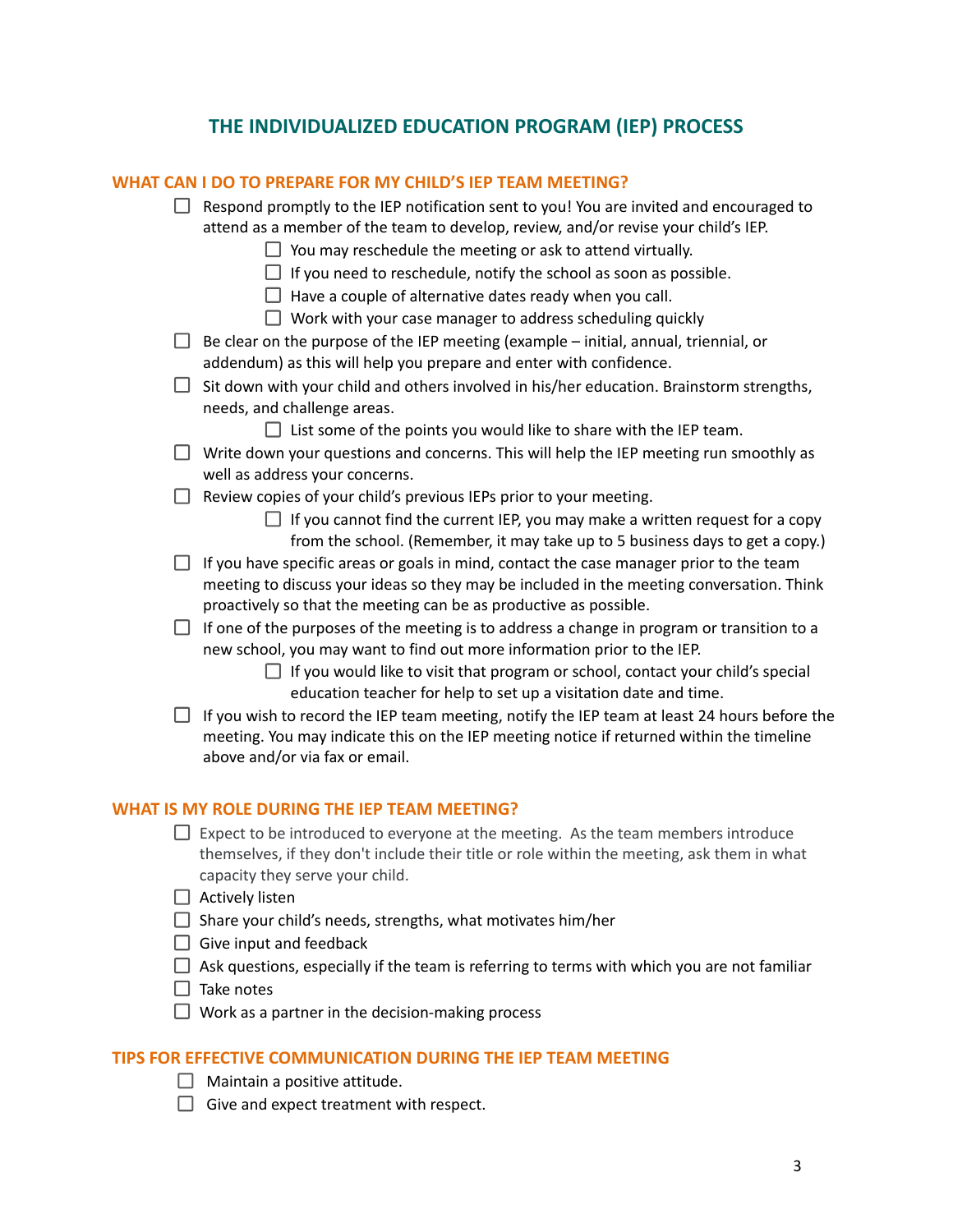# **THE INDIVIDUALIZED EDUCATION PROGRAM (IEP) PROCESS**

|                                                     | WHAT CAN I DO TO PREPARE FOR MY CHILD'S IEP TEAM MEETING?                                                                                                                                                                                                 |  |
|-----------------------------------------------------|-----------------------------------------------------------------------------------------------------------------------------------------------------------------------------------------------------------------------------------------------------------|--|
|                                                     | $\Box$ Respond promptly to the IEP notification sent to you! You are invited and encouraged to<br>attend as a member of the team to develop, review, and/or revise your child's IEP.<br>$\Box$ You may reschedule the meeting or ask to attend virtually. |  |
|                                                     | $\Box$ If you need to reschedule, notify the school as soon as possible.                                                                                                                                                                                  |  |
|                                                     | $\Box$ Have a couple of alternative dates ready when you call.                                                                                                                                                                                            |  |
|                                                     | $\Box$ Work with your case manager to address scheduling quickly                                                                                                                                                                                          |  |
|                                                     | Be clear on the purpose of the IEP meeting (example - initial, annual, triennial, or<br>addendum) as this will help you prepare and enter with confidence.                                                                                                |  |
| ⊔.                                                  | Sit down with your child and others involved in his/her education. Brainstorm strengths,<br>needs, and challenge areas.                                                                                                                                   |  |
|                                                     | $\Box$ List some of the points you would like to share with the IEP team.                                                                                                                                                                                 |  |
|                                                     | Write down your questions and concerns. This will help the IEP meeting run smoothly as<br>well as address your concerns.                                                                                                                                  |  |
|                                                     | Review copies of your child's previous IEPs prior to your meeting.                                                                                                                                                                                        |  |
|                                                     | $\Box$ If you cannot find the current IEP, you may make a written request for a copy<br>from the school. (Remember, it may take up to 5 business days to get a copy.)                                                                                     |  |
|                                                     | If you have specific areas or goals in mind, contact the case manager prior to the team<br>meeting to discuss your ideas so they may be included in the meeting conversation. Think<br>proactively so that the meeting can be as productive as possible.  |  |
|                                                     | $\Box$ If one of the purposes of the meeting is to address a change in program or transition to a<br>new school, you may want to find out more information prior to the IEP.                                                                              |  |
|                                                     | $\Box$ If you would like to visit that program or school, contact your child's special<br>education teacher for help to set up a visitation date and time.                                                                                                |  |
|                                                     | If you wish to record the IEP team meeting, notify the IEP team at least 24 hours before the<br>meeting. You may indicate this on the IEP meeting notice if returned within the timeline<br>above and/or via fax or email.                                |  |
| <b>WHAT IS MY ROLE DURING THE IEP TEAM MEETING?</b> |                                                                                                                                                                                                                                                           |  |
|                                                     | Expect to be introduced to everyone at the meeting. As the team members introduce<br>themselves, if they don't include their title or role within the meeting, ask them in what<br>capacity they serve your child.                                        |  |
|                                                     | Actively listen                                                                                                                                                                                                                                           |  |
|                                                     | Share your child's needs, strengths, what motivates him/her                                                                                                                                                                                               |  |
|                                                     | $\Box$ Give input and feedback                                                                                                                                                                                                                            |  |
|                                                     | Ask questions, especially if the team is referring to terms with which you are not familiar                                                                                                                                                               |  |
|                                                     | Take notes                                                                                                                                                                                                                                                |  |
|                                                     | Work as a partner in the decision-making process                                                                                                                                                                                                          |  |

# **TIPS FOR EFFECTIVE COMMUNICATION DURING THE IEP TEAM MEETING**

- $\Box$  Maintain a positive attitude.
- $\Box$  Give and expect treatment with respect.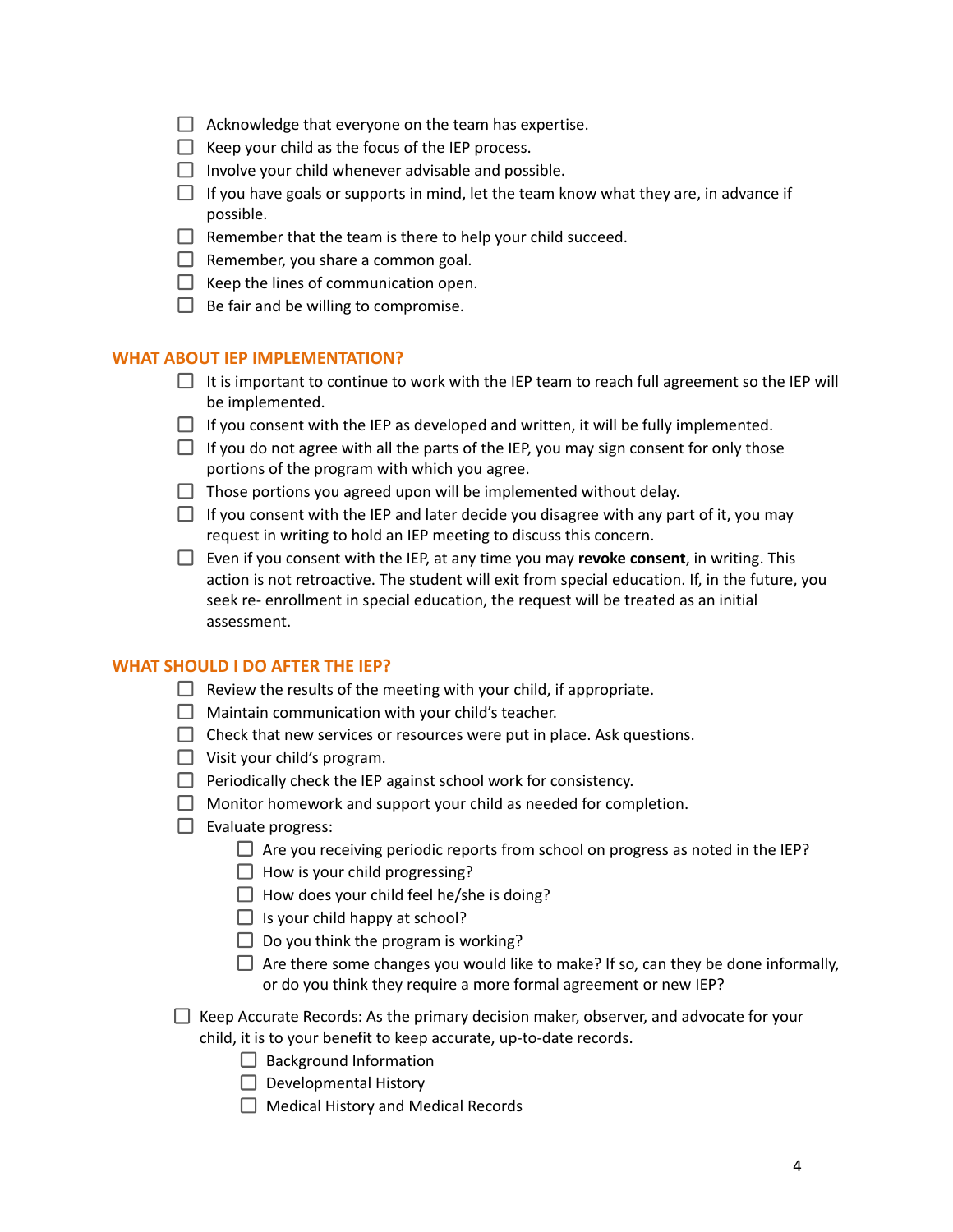- $\Box$  Acknowledge that everyone on the team has expertise.
- $\Box$  Keep your child as the focus of the IEP process.
- $\Box$  Involve your child whenever advisable and possible.
- $\Box$  If you have goals or supports in mind, let the team know what they are, in advance if possible.
- $\Box$  Remember that the team is there to help your child succeed.
- $\Box$  Remember, you share a common goal.
- $\Box$  Keep the lines of communication open.
- $\Box$  Be fair and be willing to compromise.

#### **WHAT ABOUT IEP IMPLEMENTATION?**

- $\Box$  It is important to continue to work with the IEP team to reach full agreement so the IEP will be implemented.
- $\Box$  If you consent with the IEP as developed and written, it will be fully implemented.
- $\Box$  If you do not agree with all the parts of the IEP, you may sign consent for only those portions of the program with which you agree.
- $\Box$  Those portions you agreed upon will be implemented without delay.
- $\Box$  If you consent with the IEP and later decide you disagree with any part of it, you may request in writing to hold an IEP meeting to discuss this concern.
- Even if you consent with the IEP, at any time you may **revoke consent**, in writing. This action is not retroactive. The student will exit from special education. If, in the future, you seek re- enrollment in special education, the request will be treated as an initial assessment.

#### **WHAT SHOULD I DO AFTER THE IEP?**

- $\Box$  Review the results of the meeting with your child, if appropriate.
- $\Box$  Maintain communication with your child's teacher.
- $\Box$  Check that new services or resources were put in place. Ask questions.
- $\Box$  Visit your child's program.
- $\Box$  Periodically check the IEP against school work for consistency.
- $\Box$  Monitor homework and support your child as needed for completion.
- $\Box$  Evaluate progress:
	- $\Box$  Are you receiving periodic reports from school on progress as noted in the IEP?
	- $\Box$  How is your child progressing?
	- $\Box$  How does your child feel he/she is doing?
	- $\Box$  Is your child happy at school?
	- $\Box$  Do you think the program is working?
	- $\Box$  Are there some changes you would like to make? If so, can they be done informally, or do you think they require a more formal agreement or new IEP?
- $\Box$  Keep Accurate Records: As the primary decision maker, observer, and advocate for your child, it is to your benefit to keep accurate, up‐to‐date records.
	- $\Box$  Background Information
	- $\Box$  Developmental History
	- $\Box$  Medical History and Medical Records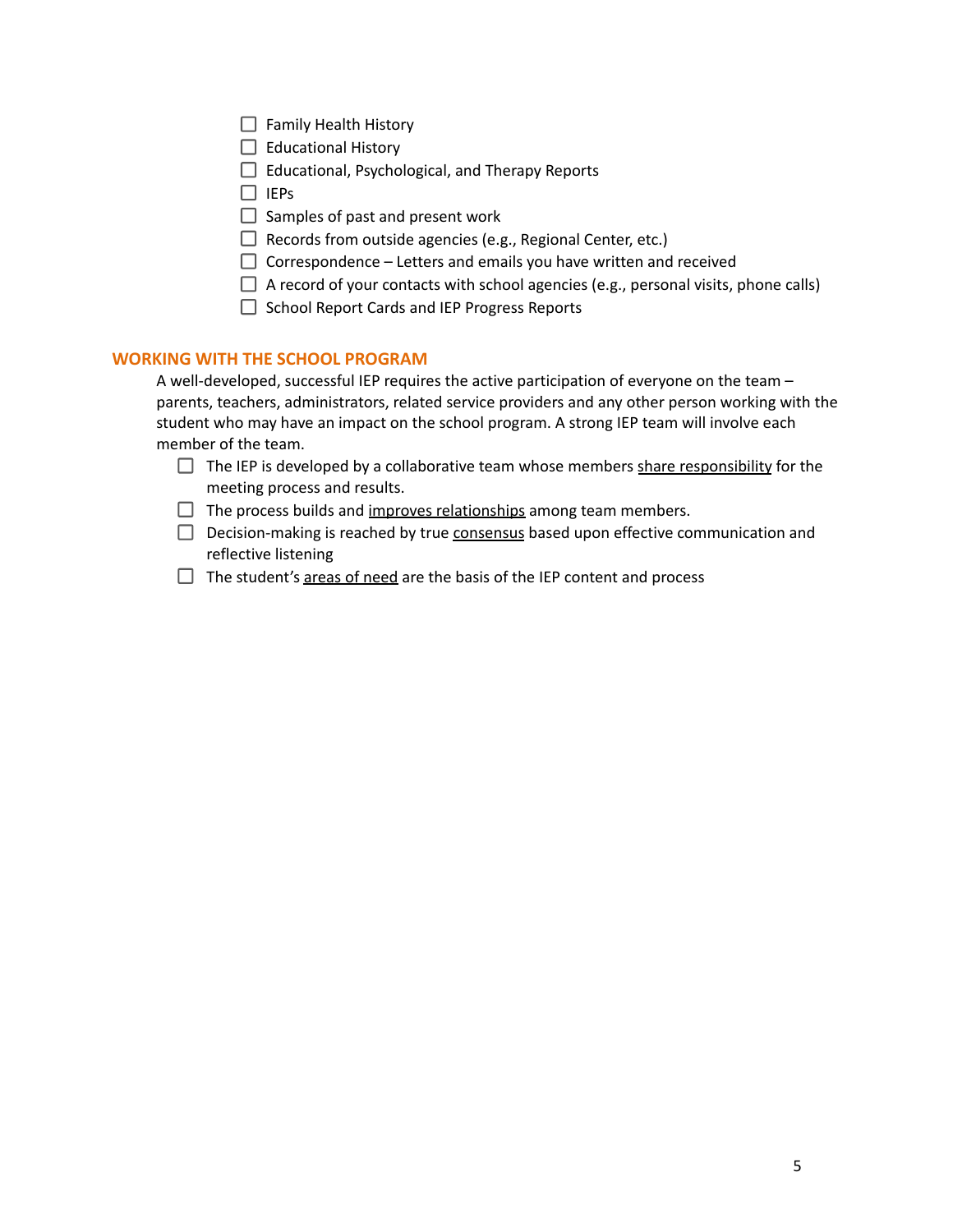- $\Box$  Family Health History
- $\Box$  Educational History
- $\Box$  Educational, Psychological, and Therapy Reports
- $\Box$  IEPs
- $\Box$  Samples of past and present work
- $\Box$  Records from outside agencies (e.g., Regional Center, etc.)
- $\Box$  Correspondence Letters and emails you have written and received
- $\Box$  A record of your contacts with school agencies (e.g., personal visits, phone calls)
- $\Box$  School Report Cards and IEP Progress Reports

#### **WORKING WITH THE SCHOOL PROGRAM**

A well-developed, successful IEP requires the active participation of everyone on the team – parents, teachers, administrators, related service providers and any other person working with the student who may have an impact on the school program. A strong IEP team will involve each member of the team.

- $\Box$  The IEP is developed by a collaborative team whose members share responsibility for the meeting process and results.
- $\Box$  The process builds and improves relationships among team members.
- $\Box$  Decision-making is reached by true consensus based upon effective communication and reflective listening
- $\Box$  The student's areas of need are the basis of the IEP content and process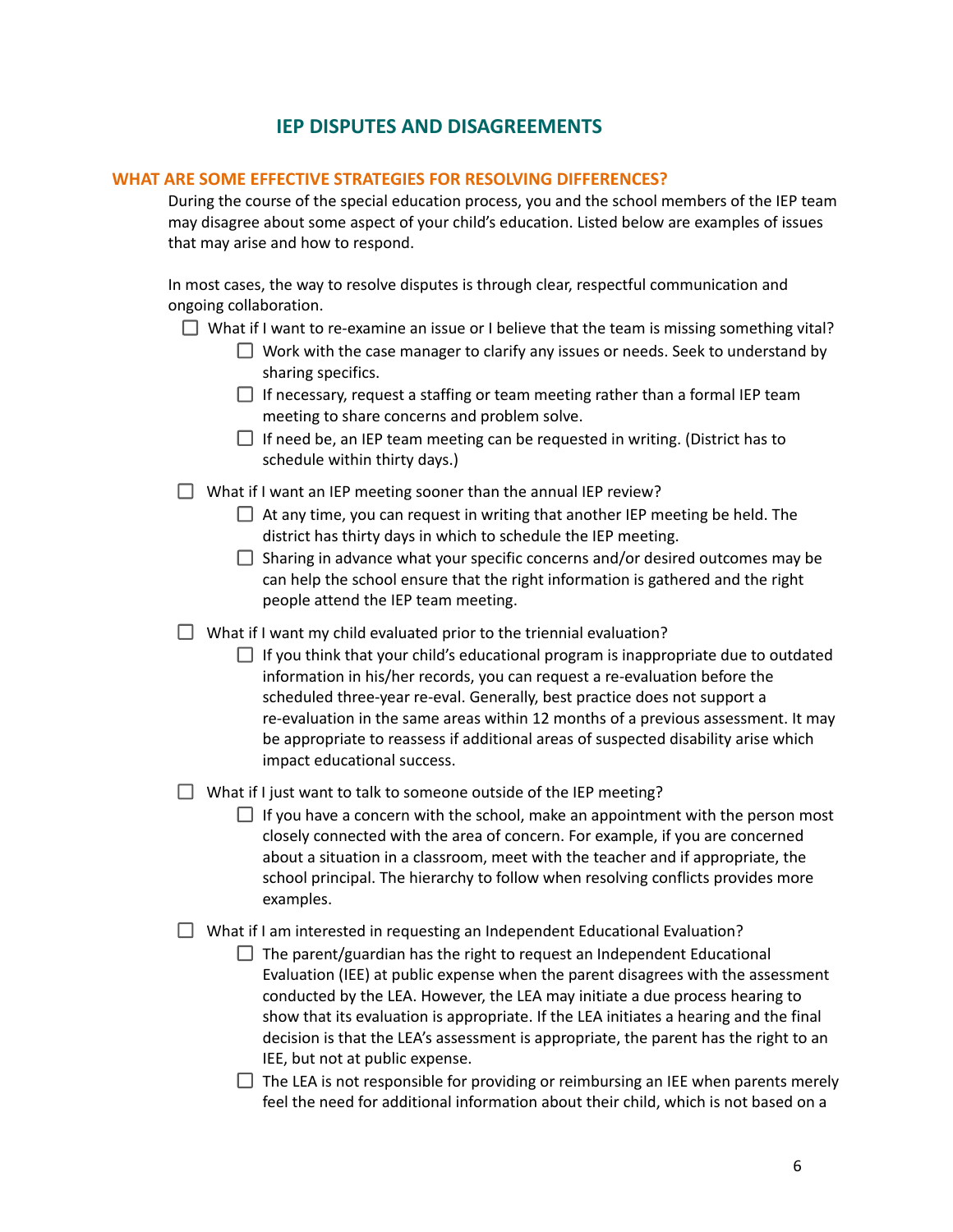# **IEP DISPUTES AND DISAGREEMENTS**

#### **WHAT ARE SOME EFFECTIVE STRATEGIES FOR RESOLVING DIFFERENCES?**

During the course of the special education process, you and the school members of the IEP team may disagree about some aspect of your child's education. Listed below are examples of issues that may arise and how to respond.

In most cases, the way to resolve disputes is through clear, respectful communication and ongoing collaboration.

- What if I want to re-examine an issue or I believe that the team is missing something vital?
	- $\Box$  Work with the case manager to clarify any issues or needs. Seek to understand by sharing specifics.
	- $\Box$  If necessary, request a staffing or team meeting rather than a formal IEP team meeting to share concerns and problem solve.
	- $\Box$  If need be, an IEP team meeting can be requested in writing. (District has to schedule within thirty days.)
- What if I want an IEP meeting sooner than the annual IEP review?
	- $\Box$  At any time, you can request in writing that another IEP meeting be held. The district has thirty days in which to schedule the IEP meeting.
	- $\Box$  Sharing in advance what your specific concerns and/or desired outcomes may be can help the school ensure that the right information is gathered and the right people attend the IEP team meeting.
- $\Box$  What if I want my child evaluated prior to the triennial evaluation?
	- $\Box$  If you think that your child's educational program is inappropriate due to outdated information in his/her records, you can request a re‐evaluation before the scheduled three-year re-eval. Generally, best practice does not support a re-evaluation in the same areas within 12 months of a previous assessment. It may be appropriate to reassess if additional areas of suspected disability arise which impact educational success.

What if I just want to talk to someone outside of the IEP meeting?

 $\Box$  If you have a concern with the school, make an appointment with the person most closely connected with the area of concern. For example, if you are concerned about a situation in a classroom, meet with the teacher and if appropriate, the school principal. The hierarchy to follow when resolving conflicts provides more examples.

What if I am interested in requesting an Independent Educational Evaluation?

 $\Box$  The parent/guardian has the right to request an Independent Educational Evaluation (IEE) at public expense when the parent disagrees with the assessment conducted by the LEA. However, the LEA may initiate a due process hearing to show that its evaluation is appropriate. If the LEA initiates a hearing and the final decision is that the LEA's assessment is appropriate, the parent has the right to an IEE, but not at public expense.

 $\Box$  The LEA is not responsible for providing or reimbursing an IEE when parents merely feel the need for additional information about their child, which is not based on a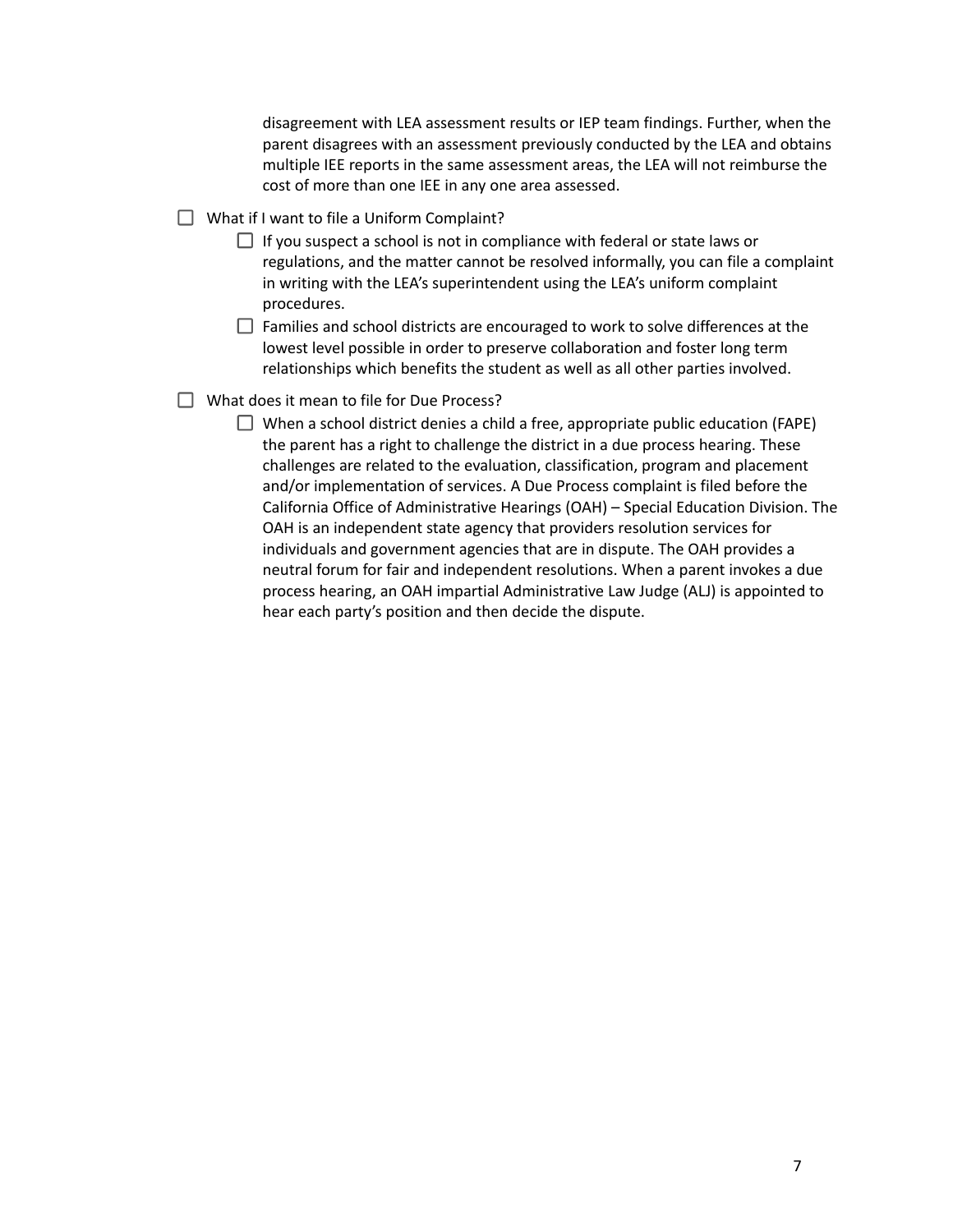disagreement with LEA assessment results or IEP team findings. Further, when the parent disagrees with an assessment previously conducted by the LEA and obtains multiple IEE reports in the same assessment areas, the LEA will not reimburse the cost of more than one IEE in any one area assessed.

- $\Box$  What if I want to file a Uniform Complaint?
	- $\Box$  If you suspect a school is not in compliance with federal or state laws or regulations, and the matter cannot be resolved informally, you can file a complaint in writing with the LEA's superintendent using the LEA's uniform complaint procedures.
	- $\Box$  Families and school districts are encouraged to work to solve differences at the lowest level possible in order to preserve collaboration and foster long term relationships which benefits the student as well as all other parties involved.
- $\Box$  What does it mean to file for Due Process?
	- $\Box$  When a school district denies a child a free, appropriate public education (FAPE) the parent has a right to challenge the district in a due process hearing. These challenges are related to the evaluation, classification, program and placement and/or implementation of services. A Due Process complaint is filed before the California Office of Administrative Hearings (OAH) – Special Education Division. The OAH is an independent state agency that providers resolution services for individuals and government agencies that are in dispute. The OAH provides a neutral forum for fair and independent resolutions. When a parent invokes a due process hearing, an OAH impartial Administrative Law Judge (ALJ) is appointed to hear each party's position and then decide the dispute.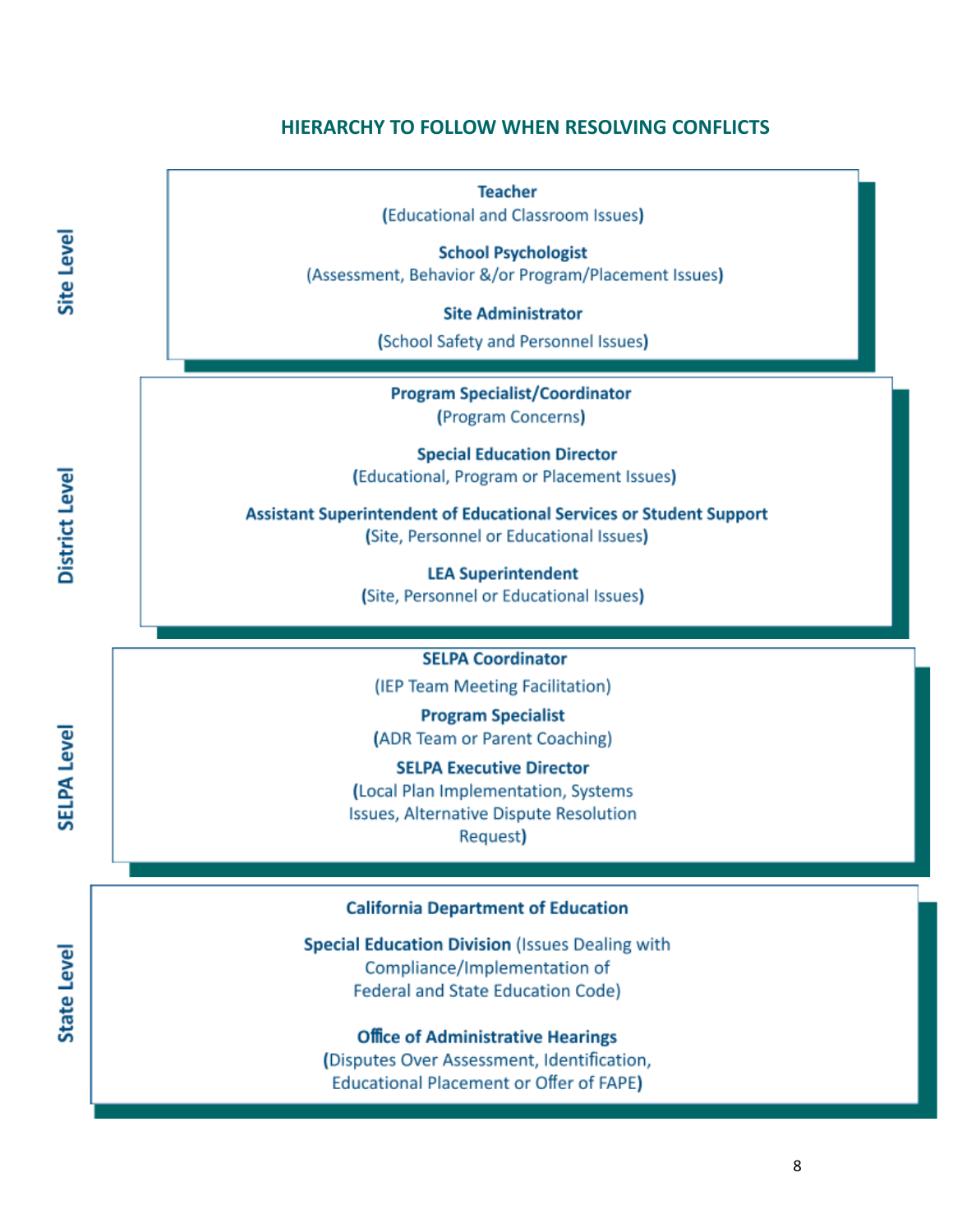### **HIERARCHY TO FOLLOW WHEN RESOLVING CONFLICTS**

**Teacher** (Educational and Classroom Issues) **School Psychologist** (Assessment, Behavior &/or Program/Placement Issues) **Site Administrator** (School Safety and Personnel Issues) **Program Specialist/Coordinator** (Program Concerns) **Special Education Director** (Educational, Program or Placement Issues) **Assistant Superintendent of Educational Services or Student Support** (Site, Personnel or Educational Issues) **LEA Superintendent** (Site, Personnel or Educational Issues) **SELPA Coordinator** (IEP Team Meeting Facilitation) **Program Specialist** (ADR Team or Parent Coaching) **SELPA Executive Director** (Local Plan Implementation, Systems Issues, Alternative Dispute Resolution Request) **California Department of Education Special Education Division (Issues Dealing with** Compliance/Implementation of **Federal and State Education Code) Office of Administrative Hearings** (Disputes Over Assessment, Identification, **Educational Placement or Offer of FAPE)** 

Site Level

District Level

**SELPA Level** 

**State Level** 

8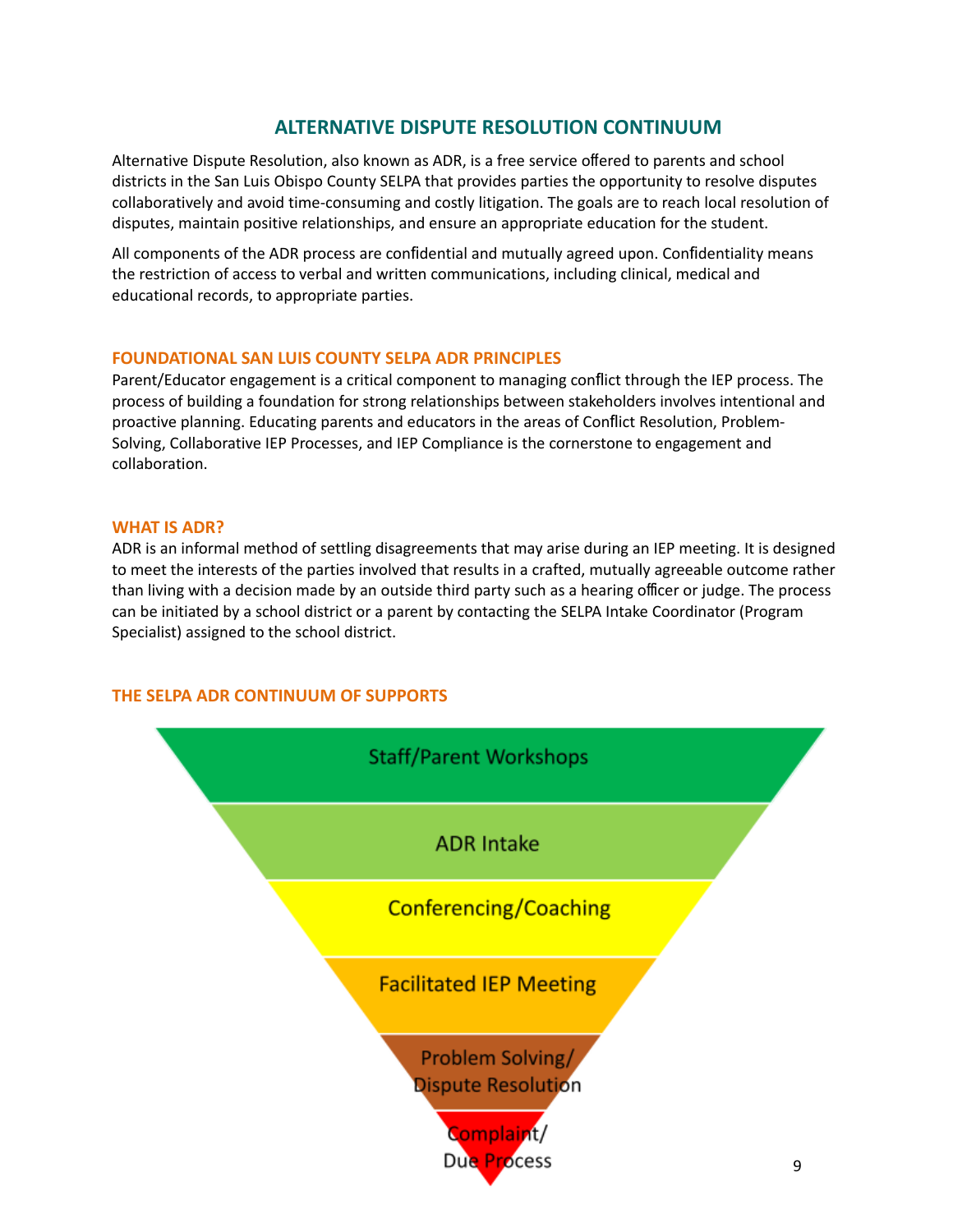# **ALTERNATIVE DISPUTE RESOLUTION CONTINUUM**

Alternative Dispute Resolution, also known as ADR, is a free service offered to parents and school districts in the San Luis Obispo County SELPA that provides parties the opportunity to resolve disputes collaboratively and avoid time‐consuming and costly litigation. The goals are to reach local resolution of disputes, maintain positive relationships, and ensure an appropriate education for the student.

All components of the ADR process are confidential and mutually agreed upon. Confidentiality means the restriction of access to verbal and written communications, including clinical, medical and educational records, to appropriate parties.

#### **FOUNDATIONAL SAN LUIS COUNTY SELPA ADR PRINCIPLES**

Parent/Educator engagement is a critical component to managing conflict through the IEP process. The process of building a foundation for strong relationships between stakeholders involves intentional and proactive planning. Educating parents and educators in the areas of Conflict Resolution, Problem‐ Solving, Collaborative IEP Processes, and IEP Compliance is the cornerstone to engagement and collaboration.

#### **WHAT IS ADR?**

ADR is an informal method of settling disagreements that may arise during an IEP meeting. It is designed to meet the interests of the parties involved that results in a crafted, mutually agreeable outcome rather than living with a decision made by an outside third party such as a hearing officer or judge. The process can be initiated by a school district or a parent by contacting the SELPA Intake Coordinator (Program Specialist) assigned to the school district.

#### **THE SELPA ADR CONTINUUM OF SUPPORTS**

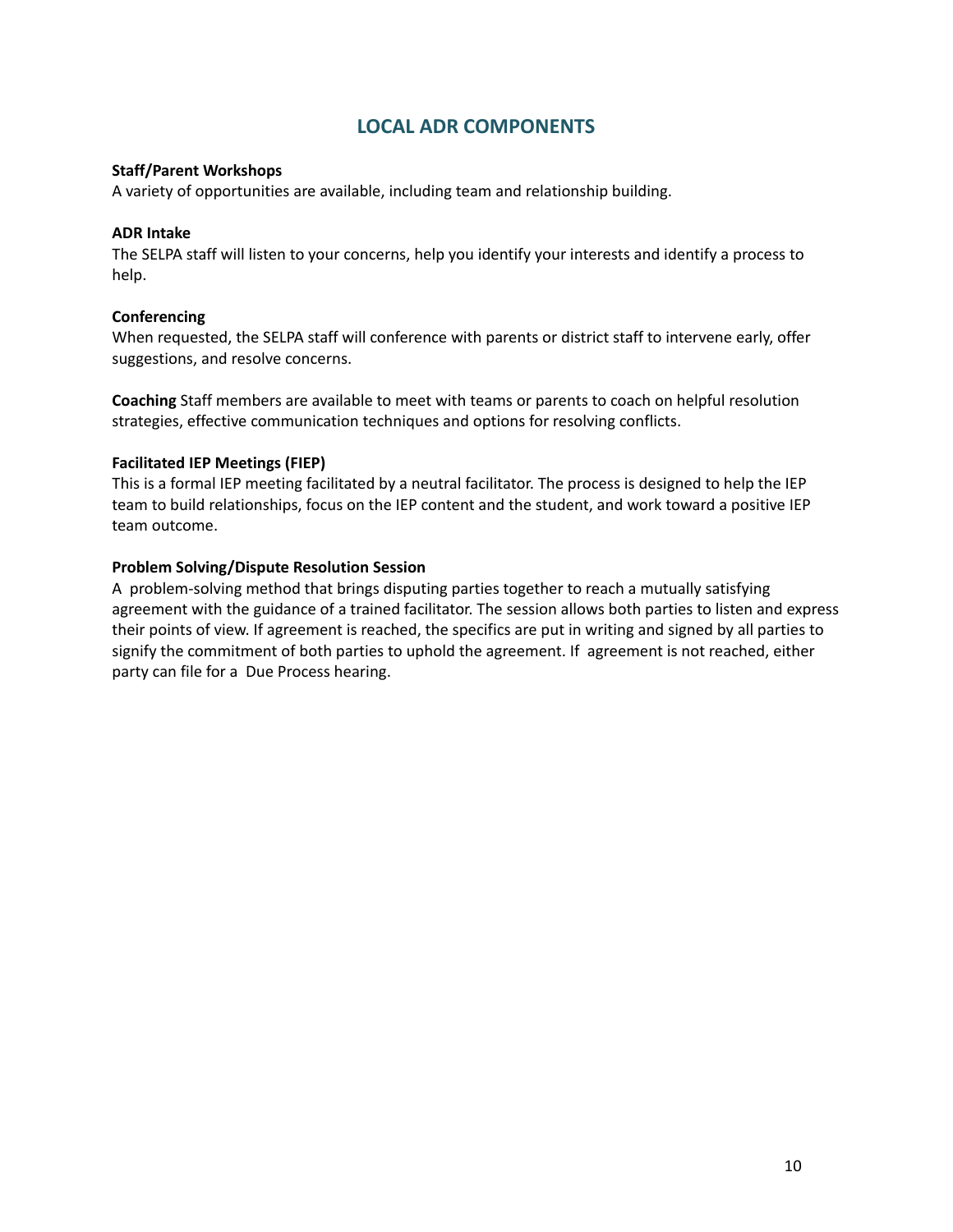# **LOCAL ADR COMPONENTS**

#### **Staff/Parent Workshops**

A variety of opportunities are available, including team and relationship building.

#### **ADR Intake**

The SELPA staff will listen to your concerns, help you identify your interests and identify a process to help.

#### **Conferencing**

When requested, the SELPA staff will conference with parents or district staff to intervene early, offer suggestions, and resolve concerns.

**Coaching** Staff members are available to meet with teams or parents to coach on helpful resolution strategies, effective communication techniques and options for resolving conflicts.

#### **Facilitated IEP Meetings (FIEP)**

This is a formal IEP meeting facilitated by a neutral facilitator. The process is designed to help the IEP team to build relationships, focus on the IEP content and the student, and work toward a positive IEP team outcome.

#### **Problem Solving/Dispute Resolution Session**

A problem-solving method that brings disputing parties together to reach a mutually satisfying agreement with the guidance of a trained facilitator. The session allows both parties to listen and express their points of view. If agreement is reached, the specifics are put in writing and signed by all parties to signify the commitment of both parties to uphold the agreement. If agreement is not reached, either party can file for a Due Process hearing.